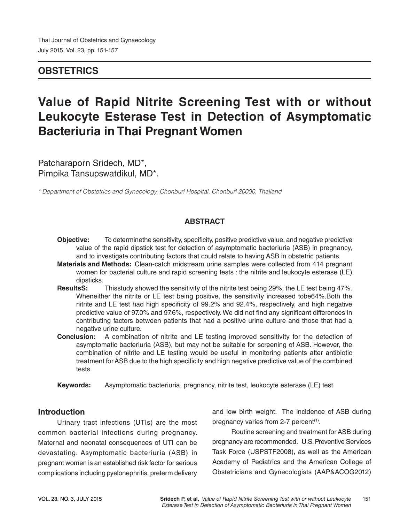# **OBSTETRICS**

# **Value of Rapid Nitrite Screening Test with or without Leukocyte Esterase Test in Detection of Asymptomatic Bacteriuria in Thai Pregnant Women**

Patcharaporn Sridech, MD\*, Pimpika Tansupswatdikul, MD\*.

*\* Department of Obstetrics and Gynecology, Chonburi Hospital, Chonburi 20000, Thailand*

### **ABSTRACT**

- **Objective:** To determinethe sensitivity, specificity, positive predictive value, and negative predictive value of the rapid dipstick test for detection of asymptomatic bacteriuria (ASB) in pregnancy, and to investigate contributing factors that could relate to having ASB in obstetric patients.
- **Materials and Methods:** Clean-catch midstream urine samples were collected from 414 pregnant women for bacterial culture and rapid screening tests : the nitrite and leukocyte esterase (LE) dipsticks.
- **ResultsS:** Thisstudy showed the sensitivity of the nitrite test being 29%, the LE test being 47%. Wheneither the nitrite or LE test being positive, the sensitivity increased tobe64%. Both the nitrite and LE test had high specificity of 99.2% and 92.4%, respectively, and high negative predictive value of 97.0% and 97.6%, respectively. We did not find any significant differences in contributing factors between patients that had a positive urine culture and those that had a negative urine culture.
- **Conclusion:** A combination of nitrite and LE testing improved sensitivity for the detection of asymptomatic bacteriuria (ASB), but may not be suitable for screening of ASB. However, the combination of nitrite and LE testing would be useful in monitoring patients after antibiotic treatment for ASB due to the high specificity and high negative predictive value of the combined tests.
- **Keywords:** Asymptomatic bacteriuria, pregnancy, nitrite test, leukocyte esterase (LE) test

### **Introduction**

Urinary tract infections (UTIs) are the most common bacterial infections during pregnancy. Maternal and neonatal consequences of UTI can be devastating. Asymptomatic bacteriuria (ASB) in pregnant women is an established risk factor for serious complications including pyelonephritis, preterm delivery and low birth weight. The incidence of ASB during pregnancy varies from 2-7 percent<sup>(1)</sup>.

Routine screening and treatment for ASB during pregnancy are recommended. U.S. Preventive Services Task Force (USPSTF2008), as well as the American Academy of Pediatrics and the American College of Obstetricians and Gynecologists (AAP&ACOG2012)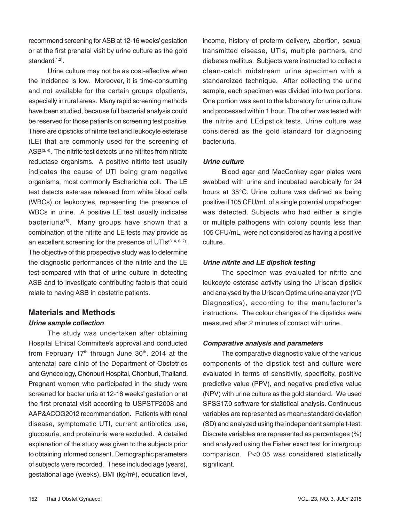recommend screening for ASB at 12-16 weeks' gestation or at the first prenatal visit by urine culture as the gold standard<sup>(1,2)</sup>.

Urine culture may not be as cost-effective when the incidence is low. Moreover, it is time-consuming and not available for the certain groups ofpatients, especially in rural areas. Many rapid screening methods have been studied, because full bacterial analysis could be reserved for those patients on screening test positive. There are dipsticks of nitrite test and leukocyte esterase (LE) that are commonly used for the screening of  $ASB<sup>(3, 4)</sup>$ . The nitrite test detects urine nitrites from nitrate reductase organisms. A positive nitirite test usually indicates the cause of UTI being gram negative organisms, most commonly Escherichia coli. The LE test detects esterase released from white blood cells (WBCs) or leukocytes, representing the presence of WBCs in urine. A positive LE test usually indicates bacteriuria<sup>(5)</sup>. Many groups have shown that a combination of the nitrite and LE tests may provide as an excellent screening for the presence of  $UTIs^{(3, 4, 6, 7)}$ . The objective of this prospective study was to determine the diagnostic performances of the nitrite and the LE test-compared with that of urine culture in detecting ASB and to investigate contributing factors that could relate to having ASB in obstetric patients.

## **Materials and Methods Urine sample collection**

The study was undertaken after obtaining Hospital Ethical Committee's approval and conducted from February  $17<sup>th</sup>$  through June  $30<sup>th</sup>$ , 2014 at the antenatal care clinic of the Department of Obstetrics and Gynecology, Chonburi Hospital, Chonburi, Thailand. Pregnant women who participated in the study were screened for bacteriuria at 12-16 weeks' gestation or at the first prenatal visit according to USPSTF2008 and AAP&ACOG2012 recommendation. Patients with renal disease, symptomatic UTI, current antibiotics use, glucosuria, and proteinuria were excluded. A detailed explanation of the study was given to the subjects prior to obtaining informed consent. Demographic parameters of subjects were recorded. These included age (years), gestational age (weeks), BMI (kg/m<sup>2</sup>), education level,

income, history of preterm delivery, abortion, sexual transmitted disease, UTIs, multiple partners, and diabetes mellitus. Subjects were instructed to collect a clean-catch midstream urine specimen with a standardized technique. After collecting the urine sample, each specimen was divided into two portions. One portion was sent to the laboratory for urine culture and processed within 1 hour. The other was tested with the nitrite and LEdipstick tests. Urine culture was considered as the gold standard for diagnosing bacteriuria.

#### **Urine culture**

Blood agar and MacConkey agar plates were swabbed with urine and incubated aerobically for 24 hours at 35°C. Urine culture was defined as being positive if 105 CFU/mL of a single potential uropathogen was detected. Subjects who had either a single or multiple pathogens with colony counts less than 105 CFU/mL, were not considered as having a positive culture.

#### **Urine nitrite and LE dipstick testing**

The specimen was evaluated for nitrite and leukocyte esterase activity using the Uriscan dipstick and analysed by the Uriscan Optima urine analyzer (YD Diagnostics), according to the manufacturer's instructions. The colour changes of the dipsticks were measured after 2 minutes of contact with urine.

#### **Comparative analysis and parameters**

The comparative diagnostic value of the various components of the dipstick test and culture were evaluated in terms of sensitivity, specificity, positive predictive value (PPV), and negative predictive value (NPV) with urine culture as the gold standard. We used SPSS17.0 software for statistical analysis. Continuous variables are represented as mean±standard deviation (SD) and analyzed using the independent sample t-test. Discrete variables are represented as percentages (%) and analyzed using the Fisher exact test for intergroup comparison. P<0.05 was considered statistically significant.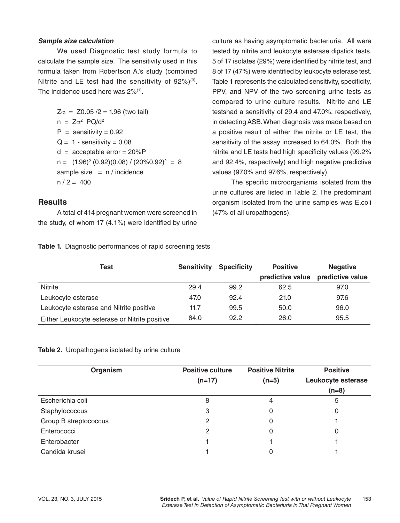#### **Sample size calculation**

We used Diagnostic test study formula to calculate the sample size. The sensitivity used in this formula taken from Robertson A.'s study (combined Nitrite and LE test had the sensitivity of  $92\%/3$ . The incidence used here was  $2\%/1}$ .

> $Z\alpha = Z0.05 / 2 = 1.96$  (two tail)  $n = Z\alpha^2$  PQ/d<sup>2</sup>  $P =$  sensitivity = 0.92  $Q = 1 -$  sensitivity = 0.08  $d =$  acceptable error = 20%P n = (1.96)2 (0.92)(0.08) / (20%0.92)2 = 8 sample size  $= n /$  incidence  $n / 2 = 400$

#### **Results**

A total of 414 pregnant women were screened in the study, of whom 17 (4.1%) were identified by urine culture as having asymptomatic bacteriuria. All were tested by nitrite and leukocyte esterase dipstick tests. 5 of 17 isolates (29%) were identified by nitrite test, and 8 of 17 (47%) were identified by leukocyte esterase test. Table 1 represents the calculated sensitivity, specificity, PPV, and NPV of the two screening urine tests as compared to urine culture results. Nitrite and LE testshad a sensitivity of 29.4 and 47.0%, respectively, in detecting ASB. When diagnosis was made based on a positive result of either the nitrite or LE test, the sensitivity of the assay increased to 64.0%. Both the nitrite and LE tests had high specificity values (99.2% and 92.4%, respectively) and high negative predictive values (97.0% and 97.6%, respectively).

The specific microorganisms isolated from the urine cultures are listed in Table 2. The predominant organism isolated from the urine samples was E.coli (47% of all uropathogens).

|  |  |  |  | Table 1. Diagnostic performances of rapid screening tests |
|--|--|--|--|-----------------------------------------------------------|
|--|--|--|--|-----------------------------------------------------------|

| Test                                          | <b>Sensitivity</b> | <b>Specificity</b> | <b>Positive</b>  | <b>Negative</b>  |
|-----------------------------------------------|--------------------|--------------------|------------------|------------------|
|                                               |                    |                    | predictive value | predictive value |
| Nitrite                                       | 29.4               | 99.2               | 62.5             | 97.0             |
| Leukocyte esterase                            | 47.0               | 92.4               | 21.0             | 97.6             |
| Leukocyte esterase and Nitrite positive       | 11.7               | 99.5               | 50.0             | 96.0             |
| Either Leukocyte esterase or Nitrite positive | 64.0               | 92.2               | 26.0             | 95.5             |

#### **Table 2.** Uropathogens isolated by urine culture

| Organism              | <b>Positive culture</b><br>$(n=17)$ | <b>Positive Nitrite</b><br>$(n=5)$ | <b>Positive</b><br>Leukocyte esterase<br>$(n=8)$ |
|-----------------------|-------------------------------------|------------------------------------|--------------------------------------------------|
| Escherichia coli      | 8                                   | 4                                  | 5                                                |
| Staphylococcus        | 3                                   | 0                                  |                                                  |
| Group B streptococcus | 2                                   | 0                                  |                                                  |
| Enterococci           | 2                                   | 0                                  |                                                  |
| Enterobacter          |                                     |                                    |                                                  |
| Candida krusei        |                                     | 0                                  |                                                  |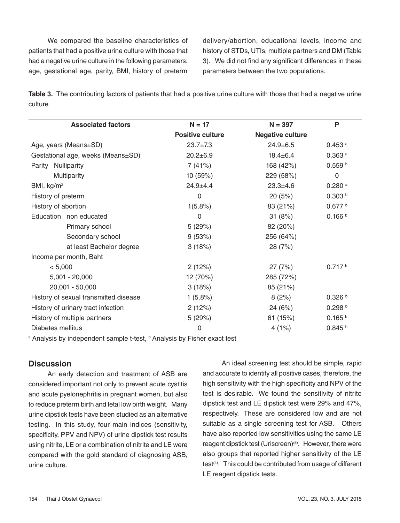We compared the baseline characteristics of patients that had a positive urine culture with those that had a negative urine culture in the following parameters: age, gestational age, parity, BMI, history of preterm delivery/abortion, educational levels, income and history of STDs, UTIs, multiple partners and DM (Table 3). We did not find any significant differences in these parameters between the two populations.

**Table 3.** The contributing factors of patients that had a positive urine culture with those that had a negative urine culture

| <b>Associated factors</b>             | $N = 17$                | $N = 397$               | P                    |
|---------------------------------------|-------------------------|-------------------------|----------------------|
|                                       | <b>Positive culture</b> | <b>Negative culture</b> |                      |
| Age, years (Means±SD)                 | $23.7 \pm 7.3$          | $24.9 \pm 6.5$          | $0.453$ <sup>a</sup> |
| Gestational age, weeks (Means±SD)     | $20.2 \pm 6.9$          | $18.4 \pm 6.4$          | $0.363$ <sup>a</sup> |
| Parity Nulliparity                    | 7(41%)<br>168 (42%)     |                         | 0.559 <sup>b</sup>   |
| Multiparity                           | 10(59%)                 | 229 (58%)               | $\Omega$             |
| BMI, kg/m <sup>2</sup>                | $24.9 + 4.4$            | $23.3 + 4.6$            | $0.280$ a            |
| History of preterm                    | 0                       | 20(5%)                  | 0.303 <sup>b</sup>   |
| History of abortion                   | 1(5.8%)                 | 83 (21%)                | 0.677 b              |
| Education non educated                | 0                       | 31(8%)                  | 0.166 <sup>b</sup>   |
| Primary school                        | 5(29%)                  | 82 (20%)                |                      |
| Secondary school                      | 9(53%)                  | 256 (64%)               |                      |
| at least Bachelor degree              | 3(18%)                  | 28 (7%)                 |                      |
| Income per month, Baht                |                         |                         |                      |
| < 5,000                               | 2(12%)                  | 27(7%)                  | 0.717 <sup>b</sup>   |
| $5,001 - 20,000$                      | 12 (70%)                | 285 (72%)               |                      |
| 20,001 - 50,000                       | 3(18%)                  | 85 (21%)                |                      |
| History of sexual transmitted disease | 1(5.8%)                 | 8(2%)                   | 0.326 <sup>b</sup>   |
| History of urinary tract infection    | 2(12%)                  | 24 (6%)                 | 0.298 <sup>b</sup>   |
| History of multiple partners          | 5(29%)                  | 61 (15%)                | 0.165 <sup>b</sup>   |
| Diabetes mellitus                     | 0                       | 4(1%)                   | 0.845 <sup>b</sup>   |

<sup>a</sup> Analysis by independent sample t-test, <sup>b</sup> Analysis by Fisher exact test

#### **Discussion**

An early detection and treatment of ASB are considered important not only to prevent acute cystitis and acute pyelonephritis in pregnant women, but also to reduce preterm birth and fetal low birth weight. Many urine dipstick tests have been studied as an alternative testing. In this study, four main indices (sensitivity, specificity, PPV and NPV) of urine dipstick test results using nitrite, LE or a combination of nitrite and LE were compared with the gold standard of diagnosing ASB, urine culture.

An ideal screening test should be simple, rapid and accurate to identify all positive cases, therefore, the high sensitivity with the high specificity and NPV of the test is desirable. We found the sensitivity of nitrite dipstick test and LE dipstick test were 29% and 47%, respectively. These are considered low and are not suitable as a single screening test for ASB. Others have also reported low sensitivities using the same LE reagent dipstick test (Uriscreen)<sup>(8)</sup>. However, there were also groups that reported higher sensitivity of the LE test<sup>(4)</sup>. This could be contributed from usage of different LE reagent dipstick tests.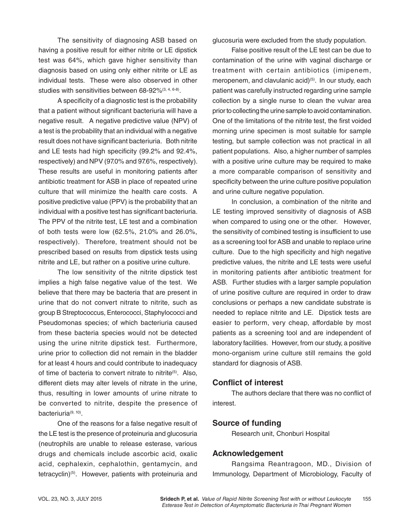The sensitivity of diagnosing ASB based on having a positive result for either nitrite or LE dipstick test was 64%, which gave higher sensitivity than diagnosis based on using only either nitrite or LE as individual tests. These were also observed in other studies with sensitivities between 68-92%<sup>(3, 4, 6-8)</sup>.

A specificity of a diagnostic test is the probability that a patient without significant bacteriuria will have a negative result. A negative predictive value (NPV) of a test is the probability that an individual with a negative result does not have significant bacteriuria. Both nitrite and LE tests had high specificity (99.2% and 92.4%, respectively) and NPV (97.0% and 97.6%, respectively). These results are useful in monitoring patients after antibiotic treatment for ASB in place of repeated urine culture that will minimize the health care costs. A positive predictive value (PPV) is the probability that an individual with a positive test has significant bacteriuria. The PPV of the nitrite test, LE test and a combination of both tests were low (62.5%, 21.0% and 26.0%, respectively). Therefore, treatment should not be prescribed based on results from dipstick tests using nitrite and LE, but rather on a positive urine culture.

The low sensitivity of the nitrite dipstick test implies a high false negative value of the test. We believe that there may be bacteria that are present in urine that do not convert nitrate to nitrite, such as group B Streptococcus, Enterococci, Staphylococci and Pseudomonas species; of which bacteriuria caused from these bacteria species would not be detected using the urine nitrite dipstick test. Furthermore, urine prior to collection did not remain in the bladder for at least 4 hours and could contribute to inadequacy of time of bacteria to convert nitrate to nitrite<sup>(5)</sup>. Also, different diets may alter levels of nitrate in the urine, thus, resulting in lower amounts of urine nitrate to be converted to nitrite, despite the presence of bacteriuria<sup>(9, 10)</sup>.

One of the reasons for a false negative result of the LE test is the presence of proteinuria and glucosuria (neutrophils are unable to release esterase, various drugs and chemicals include ascorbic acid, oxalic acid, cephalexin, cephalothin, gentamycin, and tetracyclin)<sup>(5)</sup>. However, patients with proteinuria and

glucosuria were excluded from the study population.

False positive result of the LE test can be due to contamination of the urine with vaginal discharge or treatment with certain antibiotics (imipenem, meropenem, and clavulanic acid)<sup>(5)</sup>. In our study, each patient was carefully instructed regarding urine sample collection by a single nurse to clean the vulvar area prior to collecting the urine sample to avoid contamination. One of the limitations of the nitrite test, the first voided morning urine specimen is most suitable for sample testing, but sample collection was not practical in all patient populations. Also, a higher number of samples with a positive urine culture may be required to make a more comparable comparison of sensitivity and specificity between the urine culture positive population and urine culture negative population.

In conclusion, a combination of the nitrite and LE testing improved sensitivity of diagnosis of ASB when compared to using one or the other. However, the sensitivity of combined testing is insufficient to use as a screening tool for ASB and unable to replace urine culture. Due to the high specificity and high negative predictive values, the nitrite and LE tests were useful in monitoring patients after antibiotic treatment for ASB. Further studies with a larger sample population of urine positive culture are required in order to draw conclusions or perhaps a new candidate substrate is needed to replace nitrite and LE. Dipstick tests are easier to perform, very cheap, affordable by most patients as a screening tool and are independent of laboratory facilities. However, from our study, a positive mono-organism urine culture still remains the gold standard for diagnosis of ASB.

#### **Conflict of interest**

The authors declare that there was no conflict of interest.

### **Source of funding**

Research unit, Chonburi Hospital

### **Acknowledgement**

Rangsima Reantragoon, MD., Division of Immunology, Department of Microbiology, Faculty of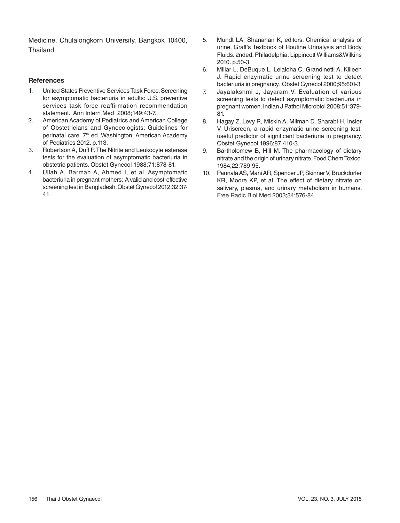Medicine, Chulalongkorn University, Bangkok 10400, Thailand

#### **References**

- 1. United States Preventive Services Task Force. Screening for asymptomatic bacteriuria in adults: U.S. preventive services task force reaffirmation recommendation statement. Ann Intern Med 2008;149:43-7.
- 2. American Academy of Pediatrics and American College of Obstetricians and Gynecologists: Guidelines for perinatal care. 7<sup>th</sup> ed. Washington: American Academy of Pediatrics 2012. p.113.
- 3. Robertson A, Duff P. The Nitrite and Leukocyte esterase tests for the evaluation of asymptomatic bacteriuria in obstetric patients. Obstet Gynecol 1988;71:878-81.
- 4. Ullah A, Barman A, Ahmed I, et al. Asymptomatic bacteriuria in pregnant mothers: A valid and cost-effective screening test in Bangladesh. Obstet Gynecol 2012;32:37- 41.
- 5. Mundt LA, Shanahan K, editors. Chemical analysis of urine. Graff's Textbook of Routine Urinalysis and Body Fluids. 2nded. Philadelphia: Lippincott Williams&Wilkins 2010. p.50-3.
- 6. Millar L, DeBuque L, Leialoha C, Grandinetti A, Killeen J. Rapid enzymatic urine screening test to detect bacteriuria in pregnancy. Obstet Gynecol 2000;95:601-3.
- 7. Jayalakshmi J, Jayaram V. Evaluation of various screening tests to detect asymptomatic bacteriuria in pregnant women. Indian J Pathol Microbiol 2008;51:379- 81.
- 8. Hagay Z, Levy R, Miskin A, Milman D, Sharabi H, Insler V. Uriscreen, a rapid enzymatic urine screening test: useful predictor of significant bacteriuria in pregnancy. Obstet Gynecol 1996;87:410-3.
- 9. Bartholomew B, Hill M. The pharmacology of dietary nitrate and the origin of urinary nitrate. Food Chem Toxicol 1984;22:789-95.
- 10. Pannala AS, Mani AR, Spencer JP, Skinner V, Bruckdorfer KR, Moore KP, et al. The effect of dietary nitrate on salivary, plasma, and urinary metabolism in humans. Free Radic Biol Med 2003;34:576-84.